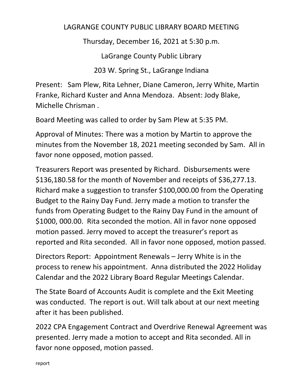## LAGRANGE COUNTY PUBLIC LIBRARY BOARD MEETING

Thursday, December 16, 2021 at 5:30 p.m.

LaGrange County Public Library

203 W. Spring St., LaGrange Indiana

Present: Sam Plew, Rita Lehner, Diane Cameron, Jerry White, Martin Franke, Richard Kuster and Anna Mendoza. Absent: Jody Blake, Michelle Chrisman .

Board Meeting was called to order by Sam Plew at 5:35 PM.

Approval of Minutes: There was a motion by Martin to approve the minutes from the November 18, 2021 meeting seconded by Sam. All in favor none opposed, motion passed.

Treasurers Report was presented by Richard. Disbursements were \$136,180.58 for the month of November and receipts of \$36,277.13. Richard make a suggestion to transfer \$100,000.00 from the Operating Budget to the Rainy Day Fund. Jerry made a motion to transfer the funds from Operating Budget to the Rainy Day Fund in the amount of \$1000, 000.00. Rita seconded the motion. All in favor none opposed motion passed. Jerry moved to accept the treasurer's report as reported and Rita seconded. All in favor none opposed, motion passed.

Directors Report: Appointment Renewals – Jerry White is in the process to renew his appointment. Anna distributed the 2022 Holiday Calendar and the 2022 Library Board Regular Meetings Calendar.

The State Board of Accounts Audit is complete and the Exit Meeting was conducted. The report is out. Will talk about at our next meeting after it has been published.

2022 CPA Engagement Contract and Overdrive Renewal Agreement was presented. Jerry made a motion to accept and Rita seconded. All in favor none opposed, motion passed.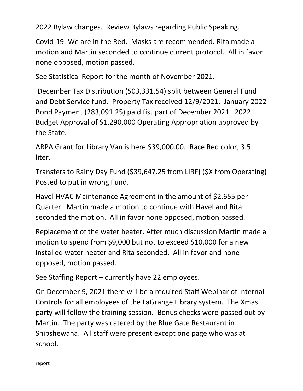2022 Bylaw changes. Review Bylaws regarding Public Speaking.

Covid-19. We are in the Red. Masks are recommended. Rita made a motion and Martin seconded to continue current protocol. All in favor none opposed, motion passed.

See Statistical Report for the month of November 2021.

December Tax Distribution (503,331.54) split between General Fund and Debt Service fund. Property Tax received 12/9/2021. January 2022 Bond Payment (283,091.25) paid fist part of December 2021. 2022 Budget Approval of \$1,290,000 Operating Appropriation approved by the State.

ARPA Grant for Library Van is here \$39,000.00. Race Red color, 3.5 liter.

Transfers to Rainy Day Fund (\$39,647.25 from LIRF) (\$X from Operating) Posted to put in wrong Fund.

Havel HVAC Maintenance Agreement in the amount of \$2,655 per Quarter. Martin made a motion to continue with Havel and Rita seconded the motion. All in favor none opposed, motion passed.

Replacement of the water heater. After much discussion Martin made a motion to spend from \$9,000 but not to exceed \$10,000 for a new installed water heater and Rita seconded. All in favor and none opposed, motion passed.

See Staffing Report – currently have 22 employees.

On December 9, 2021 there will be a required Staff Webinar of Internal Controls for all employees of the LaGrange Library system. The Xmas party will follow the training session. Bonus checks were passed out by Martin. The party was catered by the Blue Gate Restaurant in Shipshewana. All staff were present except one page who was at school.